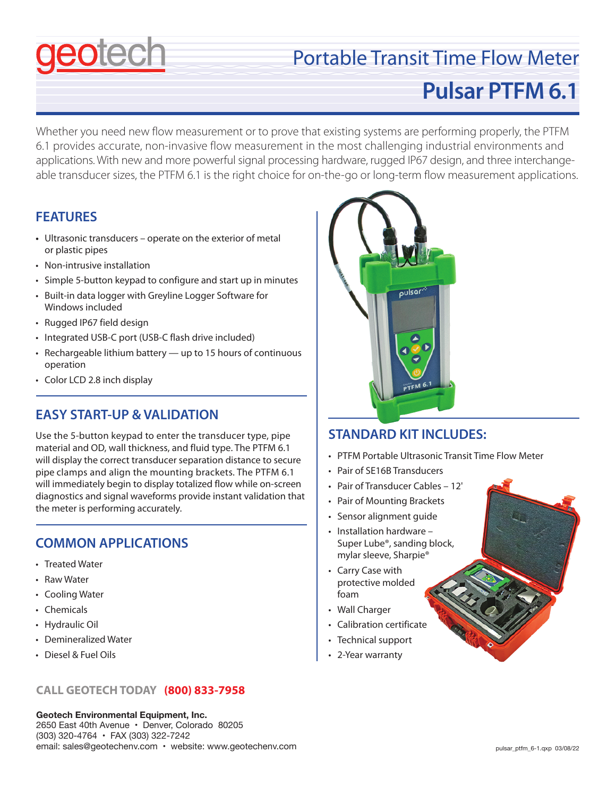# Portable Transit Time Flow Meter

# **Pulsar PTFM 6.1**

Whether you need new flow measurement or to prove that existing systems are performing properly, the PTFM 6.1 provides accurate, non-invasive flow measurement in the most challenging industrial environments and applications. With new and more powerful signal processing hardware, rugged IP67 design, and three interchangeable transducer sizes, the PTFM 6.1 is the right choice for on-the-go or long-term flow measurement applications.

### **FEATURES**

- **•** Ultrasonic transducers operate on the exterior of metal or plastic pipes
- Non-intrusive installation
- Simple 5-button keypad to configure and start up in minutes
- Built-in data logger with Greyline Logger Software for Windows included
- Rugged IP67 field design
- Integrated USB-C port (USB-C flash drive included)
- Rechargeable lithium battery up to 15 hours of continuous operation
- Color LCD 2.8 inch display

### **EASY START-UP & VALIDATION**

Use the 5-button keypad to enter the transducer type, pipe material and OD, wall thickness, and fluid type. The PTFM 6.1 will display the correct transducer separation distance to secure pipe clamps and align the mounting brackets. The PTFM 6.1 will immediately begin to display totalized flow while on-screen diagnostics and signal waveforms provide instant validation that the meter is performing accurately.

### **COMMON APPLICATIONS**

- Treated Water
- Raw Water
- Cooling Water
- Chemicals
- Hydraulic Oil
- Demineralized Water
- Diesel & Fuel Oils

### **CALL GEOTECH TODAY (800) 833-7958**

**Geotech Environmental Equipment, Inc.** 2650 East 40th Avenue • Denver, Colorado 80205 (303) 320-4764 • FAX (303) 322-7242 email: sales@geotechenv.com • website: www.geotechenv.com



### **STANDARD KIT INCLUDES:**

- PTFM Portable Ultrasonic Transit Time Flow Meter
- Pair of SE16B Transducers
- Pair of Transducer Cables 12'
- Pair of Mounting Brackets
- Sensor alignment guide
- Installation hardware Super Lube®, sanding block, mylar sleeve, Sharpie®
- Carry Case with protective molded foam
- Wall Charger
- Calibration certificate
- Technical support
- 2-Year warranty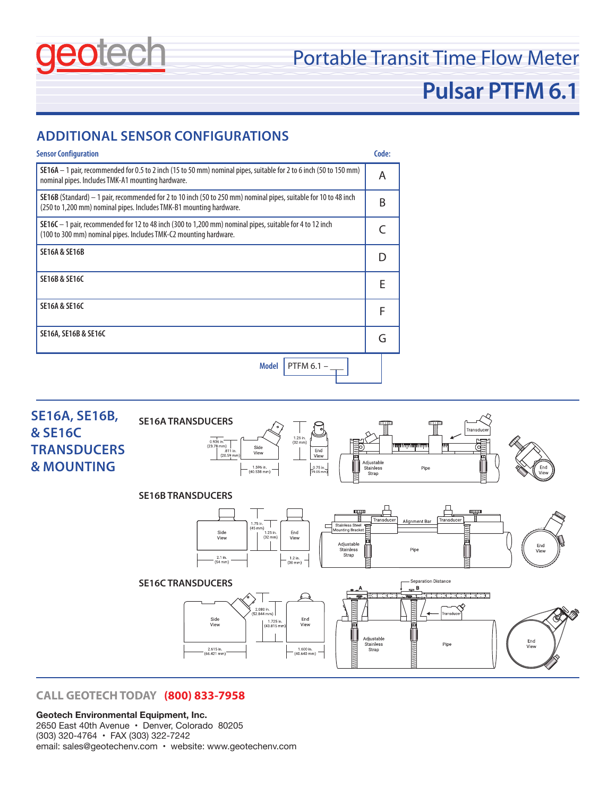

### Portable Transit Time Flow Meter

## **Pulsar PTFM 6.1**

### **ADDITIONAL SENSOR CONFIGURATIONS**





### **CALL GEOTECH TODAY (800) 833-7958**

#### **Geotech Environmental Equipment, Inc.**

2650 East 40th Avenue • Denver, Colorado 80205 (303) 320-4764 • FAX (303) 322-7242 email: sales@geotechenv.com • website: www.geotechenv.com